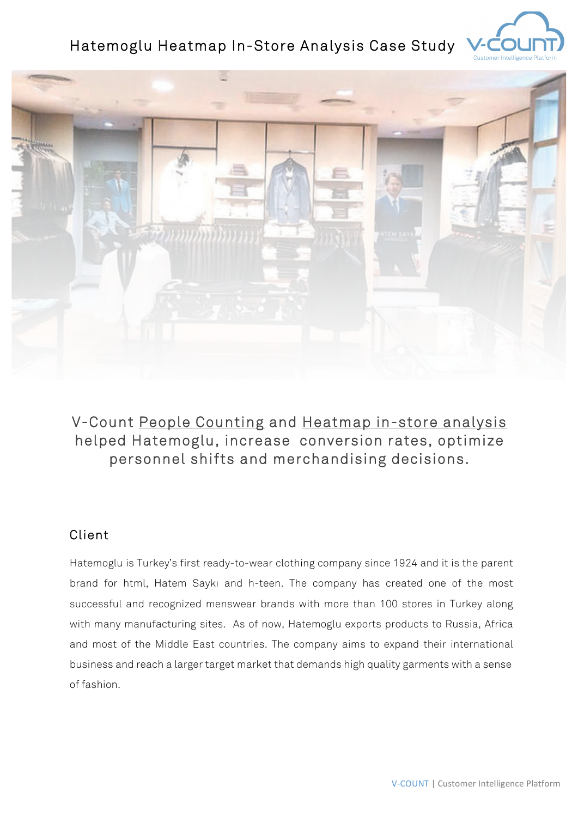# Hatemoglu Heatmap In-Store Analysis Case Study





# V-Count People Counting and Heatmap in-store analysis helped Hatemoglu, increase conversion rates, optimize personnel shifts and merchandising decisions.

#### Client

Hatemoglu is Turkey's first ready-to-wear clothing company since 1924 and it is the parent brand for html, Hatem Saykı and h-teen. The company has created one of the most successful and recognized menswear brands with more than 100 stores in Turkey along with many manufacturing sites. As of now, Hatemoglu exports products to Russia, Africa and most of the Middle East countries. The company aims to expand their international business and reach a larger target market that demands high quality garments with a sense of fashion.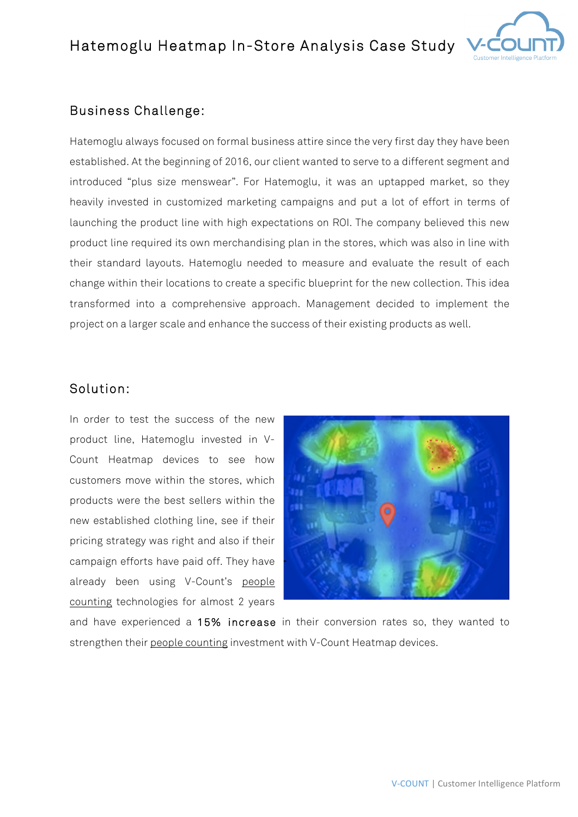## Hatemoglu Heatmap In-Store Analysis Case Study



### Business Challenge:

Hatemoglu always focused on formal business attire since the very first day they have been established. At the beginning of 2016, our client wanted to serve to a different segment and introduced "plus size menswear". For Hatemoglu, it was an uptapped market, so they heavily invested in customized marketing campaigns and put a lot of effort in terms of launching the product line with high expectations on ROI. The company believed this new product line required its own merchandising plan in the stores, which was also in line with their standard layouts. Hatemoglu needed to measure and evaluate the result of each change within their locations to create a specific blueprint for the new collection. This idea transformed into a comprehensive approach. Management decided to implement the project on a larger scale and enhance the success of their existing products as well.

#### Solution:

In order to test the success of the new product line, Hatemoglu invested in V-Count Heatmap devices to see how customers move within the stores, which products were the best sellers within the new established clothing line, see if their pricing strategy was right and also if their campaign efforts have paid off. They have already been using V-Count's people counting technologies for almost 2 years



and have experienced a 15% increase in their conversion rates so, they wanted to strengthen their people counting investment with V-Count Heatmap devices.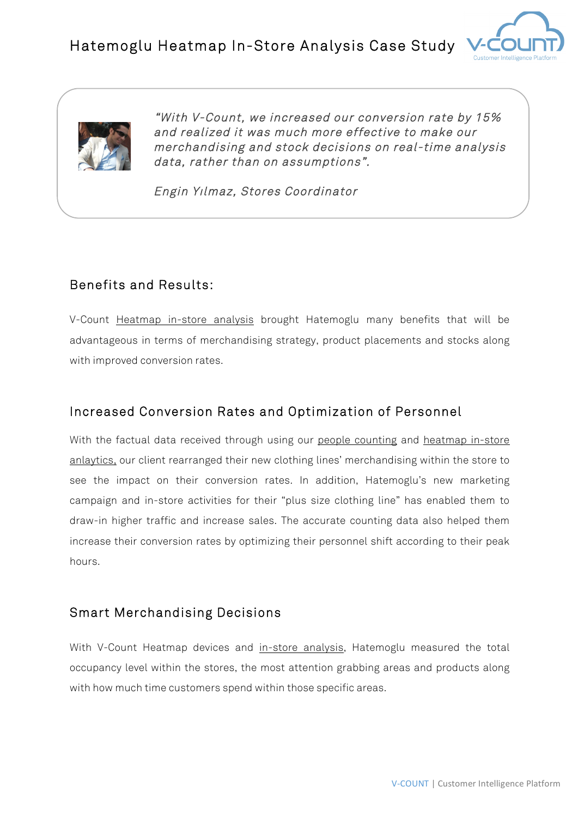



 "With V-Count, we increased our conversion rate by 15% and realized it was much more effective to make our merchandising and stock decisions on real-time analysis data, rather than on assumptions".

Engin Yılmaz, Stores Coordinator

## Benefits and Results:

V-Count Heatmap in-store analysis brought Hatemoglu many benefits that will be advantageous in terms of merchandising strategy, product placements and stocks along with improved conversion rates.

## Increased Conversion Rates and Optimization of Personnel

With the factual data received through using our people counting and heatmap in-store anlaytics, our client rearranged their new clothing lines' merchandising within the store to see the impact on their conversion rates. In addition, Hatemoglu's new marketing campaign and in-store activities for their "plus size clothing line" has enabled them to draw-in higher traffic and increase sales. The accurate counting data also helped them increase their conversion rates by optimizing their personnel shift according to their peak hours.

## Smart Merchandising Decisions

With V-Count Heatmap devices and in-store analysis, Hatemoglu measured the total occupancy level within the stores, the most attention grabbing areas and products along with how much time customers spend within those specific areas.